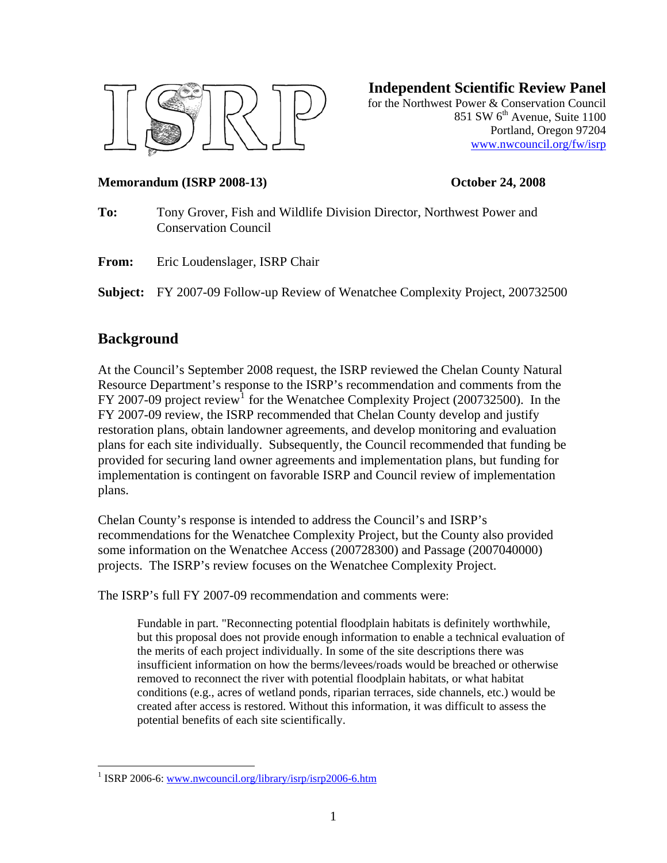

**Independent Scientific Review Panel**

for the Northwest Power & Conservation Council 851 SW  $6<sup>th</sup>$  Avenue, Suite 1100 Portland, Oregon 97204 [www.nwcouncil.org/fw/isrp](http://www.nwcouncil.org/fw/isrp)

#### **Memorandum (ISRP 2008-13) October 24, 2008**

- **To:** Tony Grover, Fish and Wildlife Division Director, Northwest Power and Conservation Council
- **From:** Eric Loudenslager, ISRP Chair

**Subject:** FY 2007-09 Follow-up Review of Wenatchee Complexity Project, 200732500

## **Background**

 $\overline{a}$ 

At the Council's September 2008 request, the ISRP reviewed the Chelan County Natural Resource Department's response to the ISRP's recommendation and comments from the FY 2007-09 project review<sup>[1](#page-0-0)</sup> for the Wenatchee Complexity Project (200732500). In the FY 2007-09 review, the ISRP recommended that Chelan County develop and justify restoration plans, obtain landowner agreements, and develop monitoring and evaluation plans for each site individually. Subsequently, the Council recommended that funding be provided for securing land owner agreements and implementation plans, but funding for implementation is contingent on favorable ISRP and Council review of implementation plans.

Chelan County's response is intended to address the Council's and ISRP's recommendations for the Wenatchee Complexity Project, but the County also provided some information on the Wenatchee Access (200728300) and Passage (2007040000) projects. The ISRP's review focuses on the Wenatchee Complexity Project.

The ISRP's full FY 2007-09 recommendation and comments were:

Fundable in part. "Reconnecting potential floodplain habitats is definitely worthwhile, but this proposal does not provide enough information to enable a technical evaluation of the merits of each project individually. In some of the site descriptions there was insufficient information on how the berms/levees/roads would be breached or otherwise removed to reconnect the river with potential floodplain habitats, or what habitat conditions (e.g., acres of wetland ponds, riparian terraces, side channels, etc.) would be created after access is restored. Without this information, it was difficult to assess the potential benefits of each site scientifically.

<span id="page-0-0"></span><sup>&</sup>lt;sup>1</sup> ISRP 2006-6: [www.nwcouncil.org/library/isrp/isrp2006-6.htm](http://www.nwcouncil.org/library/isrp/isrp2006-6.htm)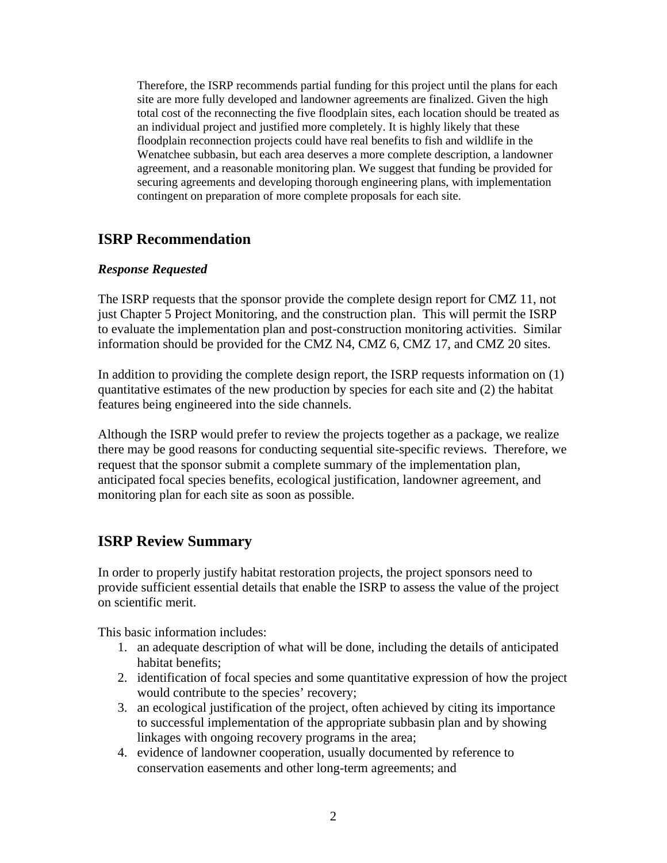Therefore, the ISRP recommends partial funding for this project until the plans for each site are more fully developed and landowner agreements are finalized. Given the high total cost of the reconnecting the five floodplain sites, each location should be treated as an individual project and justified more completely. It is highly likely that these floodplain reconnection projects could have real benefits to fish and wildlife in the Wenatchee subbasin, but each area deserves a more complete description, a landowner agreement, and a reasonable monitoring plan. We suggest that funding be provided for securing agreements and developing thorough engineering plans, with implementation contingent on preparation of more complete proposals for each site.

# **ISRP Recommendation**

### *Response Requested*

The ISRP requests that the sponsor provide the complete design report for CMZ 11, not just Chapter 5 Project Monitoring, and the construction plan. This will permit the ISRP to evaluate the implementation plan and post-construction monitoring activities. Similar information should be provided for the CMZ N4, CMZ 6, CMZ 17, and CMZ 20 sites.

In addition to providing the complete design report, the ISRP requests information on (1) quantitative estimates of the new production by species for each site and (2) the habitat features being engineered into the side channels.

Although the ISRP would prefer to review the projects together as a package, we realize there may be good reasons for conducting sequential site-specific reviews. Therefore, we request that the sponsor submit a complete summary of the implementation plan, anticipated focal species benefits, ecological justification, landowner agreement, and monitoring plan for each site as soon as possible.

# **ISRP Review Summary**

In order to properly justify habitat restoration projects, the project sponsors need to provide sufficient essential details that enable the ISRP to assess the value of the project on scientific merit.

This basic information includes:

- 1. an adequate description of what will be done, including the details of anticipated habitat benefits;
- 2. identification of focal species and some quantitative expression of how the project would contribute to the species' recovery;
- 3. an ecological justification of the project, often achieved by citing its importance to successful implementation of the appropriate subbasin plan and by showing linkages with ongoing recovery programs in the area;
- 4. evidence of landowner cooperation, usually documented by reference to conservation easements and other long-term agreements; and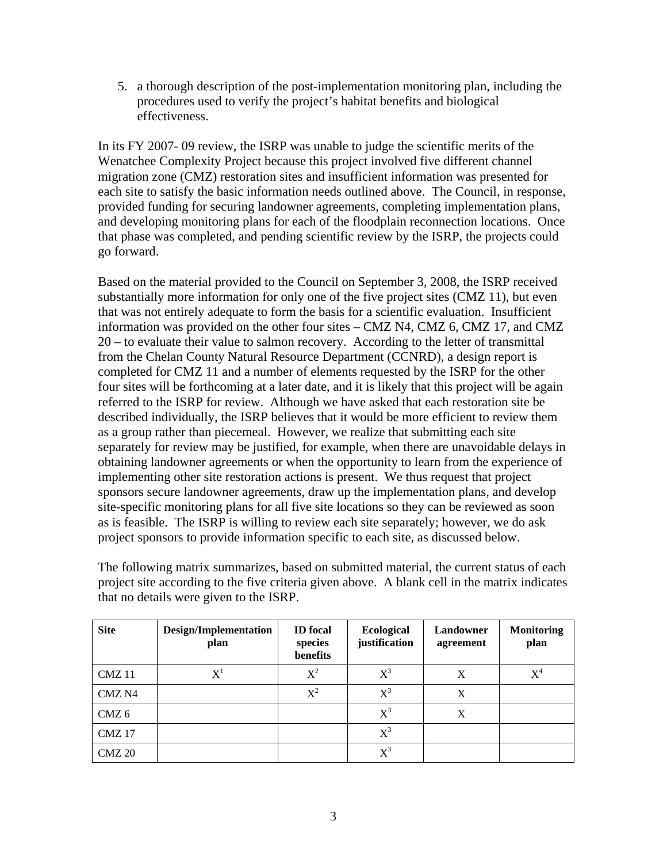5. a thorough description of the post-implementation monitoring plan, including the procedures used to verify the project's habitat benefits and biological effectiveness.

In its FY 2007- 09 review, the ISRP was unable to judge the scientific merits of the Wenatchee Complexity Project because this project involved five different channel migration zone (CMZ) restoration sites and insufficient information was presented for each site to satisfy the basic information needs outlined above. The Council, in response, provided funding for securing landowner agreements, completing implementation plans, and developing monitoring plans for each of the floodplain reconnection locations. Once that phase was completed, and pending scientific review by the ISRP, the projects could go forward.

Based on the material provided to the Council on September 3, 2008, the ISRP received substantially more information for only one of the five project sites (CMZ 11), but even that was not entirely adequate to form the basis for a scientific evaluation. Insufficient information was provided on the other four sites – CMZ N4, CMZ 6, CMZ 17, and CMZ 20 – to evaluate their value to salmon recovery. According to the letter of transmittal from the Chelan County Natural Resource Department (CCNRD), a design report is completed for CMZ 11 and a number of elements requested by the ISRP for the other four sites will be forthcoming at a later date, and it is likely that this project will be again referred to the ISRP for review. Although we have asked that each restoration site be described individually, the ISRP believes that it would be more efficient to review them as a group rather than piecemeal. However, we realize that submitting each site separately for review may be justified, for example, when there are unavoidable delays in obtaining landowner agreements or when the opportunity to learn from the experience of implementing other site restoration actions is present. We thus request that project sponsors secure landowner agreements, draw up the implementation plans, and develop site-specific monitoring plans for all five site locations so they can be reviewed as soon as is feasible. The ISRP is willing to review each site separately; however, we do ask project sponsors to provide information specific to each site, as discussed below.

The following matrix summarizes, based on submitted material, the current status of each project site according to the five criteria given above. A blank cell in the matrix indicates that no details were given to the ISRP.

| <b>Site</b>       | <b>Design/Implementation</b><br>plan | <b>ID</b> focal<br>species<br>benefits | <b>Ecological</b><br>justification | Landowner<br>agreement | <b>Monitoring</b><br>plan |
|-------------------|--------------------------------------|----------------------------------------|------------------------------------|------------------------|---------------------------|
| <b>CMZ</b> 11     | $X^1$                                | $X^2$                                  | $X^3$                              | X                      | $X^4$                     |
| CMZ <sub>N4</sub> |                                      | $X^2$                                  | $X^3$                              | X                      |                           |
| $CMZ$ 6           |                                      |                                        | $X^3$                              | X                      |                           |
| <b>CMZ</b> 17     |                                      |                                        | $X^3$                              |                        |                           |
| CMZ 20            |                                      |                                        | $X^3$                              |                        |                           |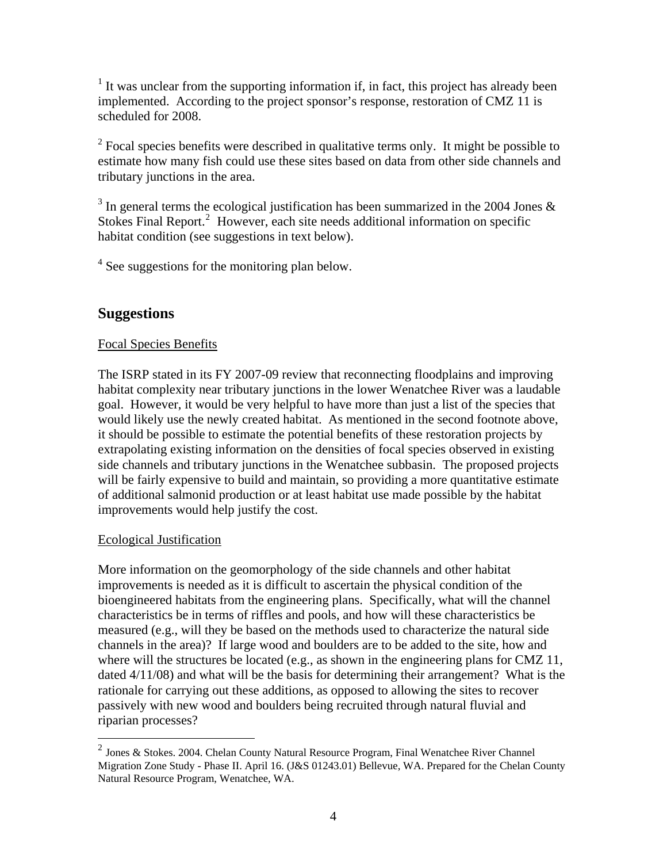$<sup>1</sup>$  It was unclear from the supporting information if, in fact, this project has already been</sup> implemented. According to the project sponsor's response, restoration of CMZ 11 is scheduled for 2008.

 $2^2$  Focal species benefits were described in qualitative terms only. It might be possible to estimate how many fish could use these sites based on data from other side channels and tributary junctions in the area.

<sup>3</sup> In general terms the ecological justification has been summarized in the 2004 Jones  $\&$ Stokes Final Report.<sup>[2](#page-3-0)</sup> However, each site needs additional information on specific habitat condition (see suggestions in text below).

<sup>4</sup> See suggestions for the monitoring plan below.

# **Suggestions**

## Focal Species Benefits

The ISRP stated in its FY 2007-09 review that reconnecting floodplains and improving habitat complexity near tributary junctions in the lower Wenatchee River was a laudable goal. However, it would be very helpful to have more than just a list of the species that would likely use the newly created habitat. As mentioned in the second footnote above, it should be possible to estimate the potential benefits of these restoration projects by extrapolating existing information on the densities of focal species observed in existing side channels and tributary junctions in the Wenatchee subbasin. The proposed projects will be fairly expensive to build and maintain, so providing a more quantitative estimate of additional salmonid production or at least habitat use made possible by the habitat improvements would help justify the cost.

## Ecological Justification

1

More information on the geomorphology of the side channels and other habitat improvements is needed as it is difficult to ascertain the physical condition of the bioengineered habitats from the engineering plans. Specifically, what will the channel characteristics be in terms of riffles and pools, and how will these characteristics be measured (e.g., will they be based on the methods used to characterize the natural side channels in the area)? If large wood and boulders are to be added to the site, how and where will the structures be located (e.g., as shown in the engineering plans for CMZ 11, dated 4/11/08) and what will be the basis for determining their arrangement? What is the rationale for carrying out these additions, as opposed to allowing the sites to recover passively with new wood and boulders being recruited through natural fluvial and riparian processes?

<span id="page-3-0"></span><sup>&</sup>lt;sup>2</sup> Jones & Stokes. 2004. Chelan County Natural Resource Program, Final Wenatchee River Channel Migration Zone Study - Phase II. April 16. (J&S 01243.01) Bellevue, WA. Prepared for the Chelan County Natural Resource Program, Wenatchee, WA.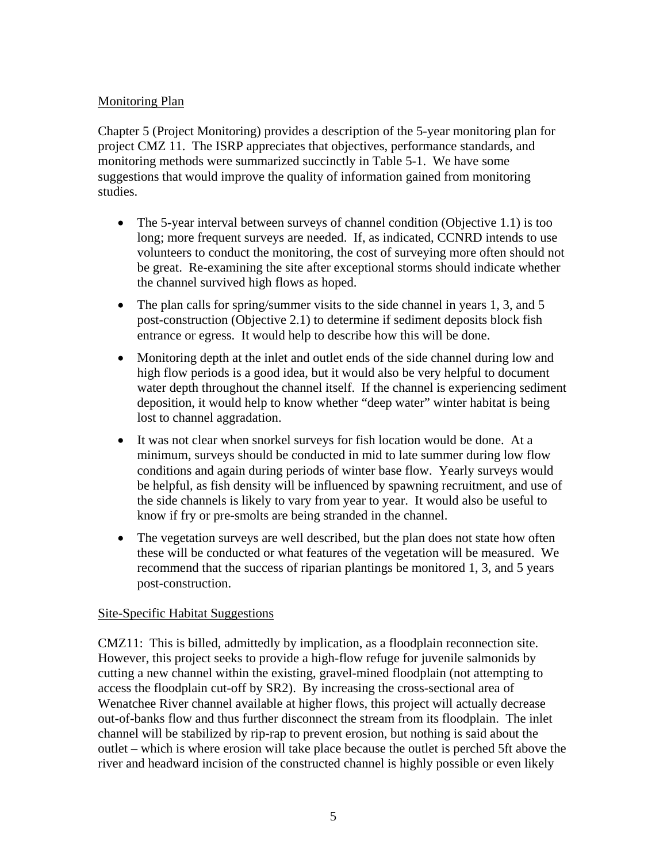## Monitoring Plan

Chapter 5 (Project Monitoring) provides a description of the 5-year monitoring plan for project CMZ 11. The ISRP appreciates that objectives, performance standards, and monitoring methods were summarized succinctly in Table 5-1. We have some suggestions that would improve the quality of information gained from monitoring studies.

- The 5-year interval between surveys of channel condition (Objective 1.1) is too long; more frequent surveys are needed. If, as indicated, CCNRD intends to use volunteers to conduct the monitoring, the cost of surveying more often should not be great. Re-examining the site after exceptional storms should indicate whether the channel survived high flows as hoped.
- The plan calls for spring/summer visits to the side channel in years 1, 3, and 5 post-construction (Objective 2.1) to determine if sediment deposits block fish entrance or egress. It would help to describe how this will be done.
- Monitoring depth at the inlet and outlet ends of the side channel during low and high flow periods is a good idea, but it would also be very helpful to document water depth throughout the channel itself. If the channel is experiencing sediment deposition, it would help to know whether "deep water" winter habitat is being lost to channel aggradation.
- It was not clear when snorkel surveys for fish location would be done. At a minimum, surveys should be conducted in mid to late summer during low flow conditions and again during periods of winter base flow. Yearly surveys would be helpful, as fish density will be influenced by spawning recruitment, and use of the side channels is likely to vary from year to year. It would also be useful to know if fry or pre-smolts are being stranded in the channel.
- The vegetation surveys are well described, but the plan does not state how often these will be conducted or what features of the vegetation will be measured. We recommend that the success of riparian plantings be monitored 1, 3, and 5 years post-construction.

#### Site-Specific Habitat Suggestions

CMZ11: This is billed, admittedly by implication, as a floodplain reconnection site. However, this project seeks to provide a high-flow refuge for juvenile salmonids by cutting a new channel within the existing, gravel-mined floodplain (not attempting to access the floodplain cut-off by SR2). By increasing the cross-sectional area of Wenatchee River channel available at higher flows, this project will actually decrease out-of-banks flow and thus further disconnect the stream from its floodplain. The inlet channel will be stabilized by rip-rap to prevent erosion, but nothing is said about the outlet – which is where erosion will take place because the outlet is perched 5ft above the river and headward incision of the constructed channel is highly possible or even likely